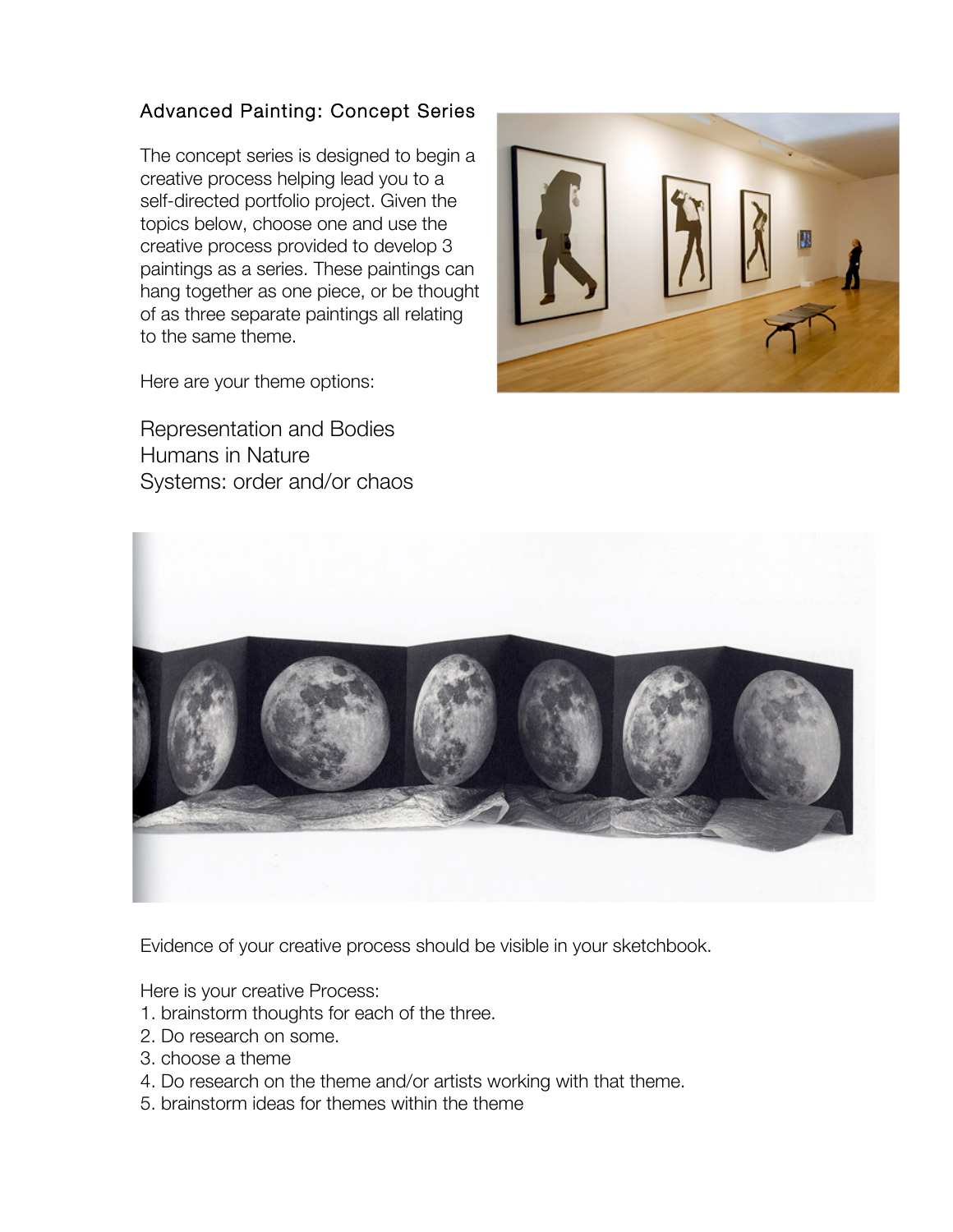## Advanced Painting: Concept Series

The concept series is designed to begin a creative process helping lead you to a self-directed portfolio project. Given the topics below, choose one and use the creative process provided to develop 3 paintings as a series. These paintings can hang together as one piece, or be thought of as three separate paintings all relating to the same theme.



Here are your theme options:

Representation and Bodies Humans in Nature Systems: order and/or chaos



Evidence of your creative process should be visible in your sketchbook.

Here is your creative Process:

- 1. brainstorm thoughts for each of the three.
- 2. Do research on some.
- 3. choose a theme
- 4. Do research on the theme and/or artists working with that theme.
- 5. brainstorm ideas for themes within the theme